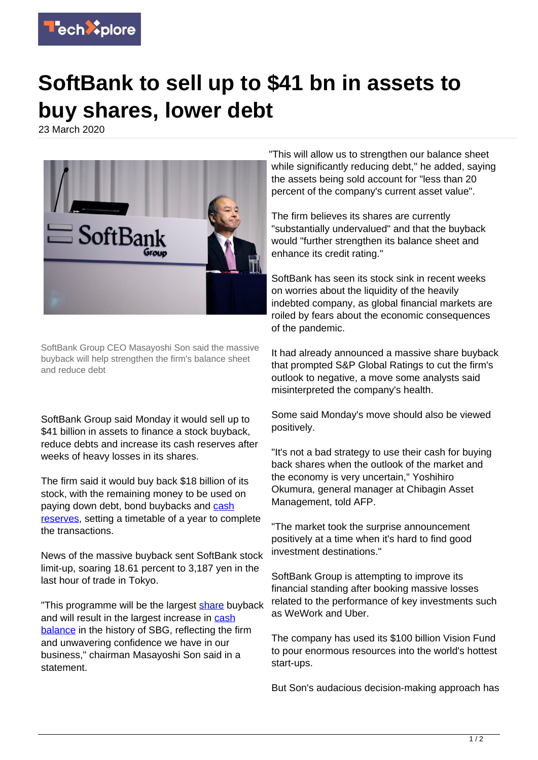

## **SoftBank to sell up to \$41 bn in assets to buy shares, lower debt**

23 March 2020



SoftBank Group CEO Masayoshi Son said the massive buyback will help strengthen the firm's balance sheet and reduce debt

SoftBank Group said Monday it would sell up to \$41 billion in assets to finance a stock buyback, reduce debts and increase its cash reserves after weeks of heavy losses in its shares.

The firm said it would buy back \$18 billion of its stock, with the remaining money to be used on paying down debt, bond buybacks and [cash](https://techxplore.com/tags/cash+reserves/) [reserves,](https://techxplore.com/tags/cash+reserves/) setting a timetable of a year to complete the transactions.

News of the massive buyback sent SoftBank stock limit-up, soaring 18.61 percent to 3,187 yen in the last hour of trade in Tokyo.

"This programme will be the largest [share](https://techxplore.com/tags/share/) buyback and will result in the largest increase in [cash](https://techxplore.com/tags/cash+balance/) [balance](https://techxplore.com/tags/cash+balance/) in the history of SBG, reflecting the firm and unwavering confidence we have in our business," chairman Masayoshi Son said in a statement.

"This will allow us to strengthen our balance sheet while significantly reducing debt," he added, saying the assets being sold account for "less than 20 percent of the company's current asset value".

The firm believes its shares are currently "substantially undervalued" and that the buyback would "further strengthen its balance sheet and enhance its credit rating."

SoftBank has seen its stock sink in recent weeks on worries about the liquidity of the heavily indebted company, as global financial markets are roiled by fears about the economic consequences of the pandemic.

It had already announced a massive share buyback that prompted S&P Global Ratings to cut the firm's outlook to negative, a move some analysts said misinterpreted the company's health.

Some said Monday's move should also be viewed positively.

"It's not a bad strategy to use their cash for buying back shares when the outlook of the market and the economy is very uncertain," Yoshihiro Okumura, general manager at Chibagin Asset Management, told AFP.

"The market took the surprise announcement positively at a time when it's hard to find good investment destinations."

SoftBank Group is attempting to improve its financial standing after booking massive losses related to the performance of key investments such as WeWork and Uber.

The company has used its \$100 billion Vision Fund to pour enormous resources into the world's hottest start-ups.

But Son's audacious decision-making approach has